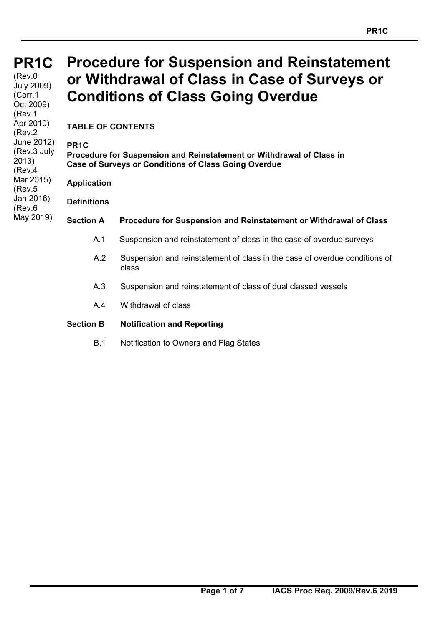**PR1C PR1C** 

### (Rev.0 July 2009) (Corr.1 Oct 2009) (Rev.1 Apr 2010) (Rev.2 June 2012) (Rev.3 July 2013) (Rev.4 Mar 2015) (Rev.5 Jan 2016) (Rev.6 May 2019)

# **Procedure for Suspension and Reinstatement or Withdrawal of Class in Case of Surveys or Conditions of Class Going Overdue**

**TABLE OF CONTENTS** 

# **PR1C**

**Procedure for Suspension and Reinstatement or Withdrawal of Class in Case of Surveys or Conditions of Class Going Overdue** 

**Application**

**Definitions** 

# **Section A Procedure for Suspension and Reinstatement or Withdrawal of Class**

- A.1 Suspension and reinstatement of class in the case of overdue surveys
- A.2 Suspension and reinstatement of class in the case of overdue conditions of class
- A.3 Suspension and reinstatement of class of dual classed vessels
- A.4 Withdrawal of class

# **Section B Notification and Reporting**

B.1 Notification to Owners and Flag States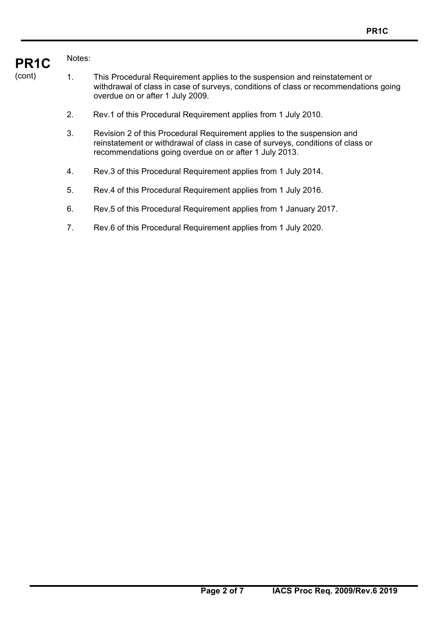#### **PR1C**  Notes:

- (cont) 1. This Procedural Requirement applies to the suspension and reinstatement or withdrawal of class in case of surveys, conditions of class or recommendations going overdue on or after 1 July 2009.
	- 2. Rev.1 of this Procedural Requirement applies from 1 July 2010.
	- 3. Revision 2 of this Procedural Requirement applies to the suspension and reinstatement or withdrawal of class in case of surveys, conditions of class or recommendations going overdue on or after 1 July 2013.
	- 4. Rev.3 of this Procedural Requirement applies from 1 July 2014.
	- 5. Rev.4 of this Procedural Requirement applies from 1 July 2016.
	- 6. Rev.5 of this Procedural Requirement applies from 1 January 2017.
	- 7. Rev.6 of this Procedural Requirement applies from 1 July 2020.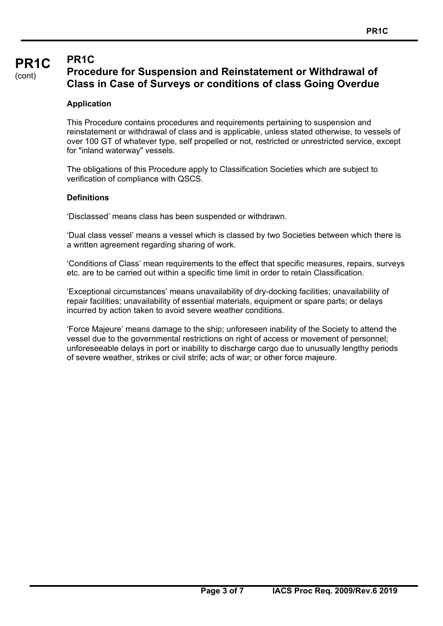#### **PR1C**  (cont) **PR1C Procedure for Suspension and Reinstatement or Withdrawal of Class in Case of Surveys or conditions of class Going Overdue**

# **Application**

This Procedure contains procedures and requirements pertaining to suspension and reinstatement or withdrawal of class and is applicable, unless stated otherwise, to vessels of over 100 GT of whatever type, self propelled or not, restricted or unrestricted service, except for "inland waterway" vessels.

The obligations of this Procedure apply to Classification Societies which are subject to verification of compliance with QSCS.

## **Definitions**

'Disclassed' means class has been suspended or withdrawn.

'Dual class vessel' means a vessel which is classed by two Societies between which there is a written agreement regarding sharing of work.

'Conditions of Class' mean requirements to the effect that specific measures, repairs, surveys etc. are to be carried out within a specific time limit in order to retain Classification.

'Exceptional circumstances' means unavailability of dry-docking facilities; unavailability of repair facilities; unavailability of essential materials, equipment or spare parts; or delays incurred by action taken to avoid severe weather conditions.

'Force Majeure' means damage to the ship; unforeseen inability of the Society to attend the vessel due to the governmental restrictions on right of access or movement of personnel; unforeseeable delays in port or inability to discharge cargo due to unusually lengthy periods of severe weather, strikes or civil strife; acts of war; or other force majeure.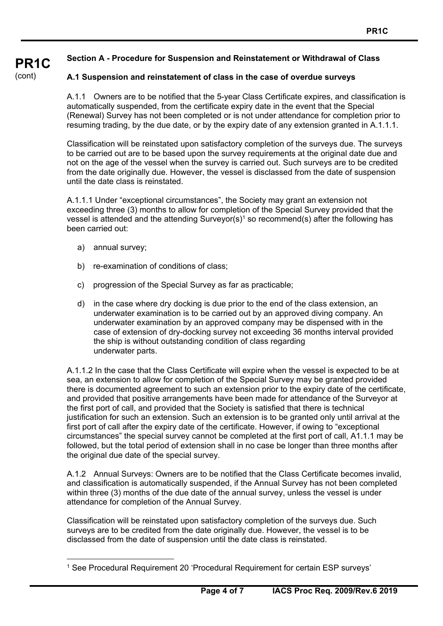#### **PR1C Section A - Procedure for Suspension and Reinstatement or Withdrawal of Class**

# **A.1 Suspension and reinstatement of class in the case of overdue surveys**

A.1.1 Owners are to be notified that the 5-year Class Certificate expires, and classification is automatically suspended, from the certificate expiry date in the event that the Special (Renewal) Survey has not been completed or is not under attendance for completion prior to resuming trading, by the due date, or by the expiry date of any extension granted in A.1.1.1.

Classification will be reinstated upon satisfactory completion of the surveys due. The surveys to be carried out are to be based upon the survey requirements at the original date due and not on the age of the vessel when the survey is carried out. Such surveys are to be credited from the date originally due. However, the vessel is disclassed from the date of suspension until the date class is reinstated.

A.1.1.1 Under "exceptional circumstances", the Society may grant an extension not exceeding three (3) months to allow for completion of the Special Survey provided that the vessel is attended and the attending Surveyor(s)<sup>1</sup> so recommend(s) after the following has been carried out:

a) annual survey;

 $\overline{a}$ 

(cont)

- b) re-examination of conditions of class;
- c) progression of the Special Survey as far as practicable;
- d) in the case where dry docking is due prior to the end of the class extension, an underwater examination is to be carried out by an approved diving company. An underwater examination by an approved company may be dispensed with in the case of extension of dry-docking survey not exceeding 36 months interval provided the ship is without outstanding condition of class regarding underwater parts.

A.1.1.2 In the case that the Class Certificate will expire when the vessel is expected to be at sea, an extension to allow for completion of the Special Survey may be granted provided there is documented agreement to such an extension prior to the expiry date of the certificate, and provided that positive arrangements have been made for attendance of the Surveyor at the first port of call, and provided that the Society is satisfied that there is technical justification for such an extension. Such an extension is to be granted only until arrival at the first port of call after the expiry date of the certificate. However, if owing to "exceptional circumstances" the special survey cannot be completed at the first port of call, A1.1.1 may be followed, but the total period of extension shall in no case be longer than three months after the original due date of the special survey.

A.1.2 Annual Surveys: Owners are to be notified that the Class Certificate becomes invalid, and classification is automatically suspended, if the Annual Survey has not been completed within three (3) months of the due date of the annual survey, unless the vessel is under attendance for completion of the Annual Survey.

Classification will be reinstated upon satisfactory completion of the surveys due. Such surveys are to be credited from the date originally due. However, the vessel is to be disclassed from the date of suspension until the date class is reinstated.

<sup>1</sup> See Procedural Requirement 20 'Procedural Requirement for certain ESP surveys'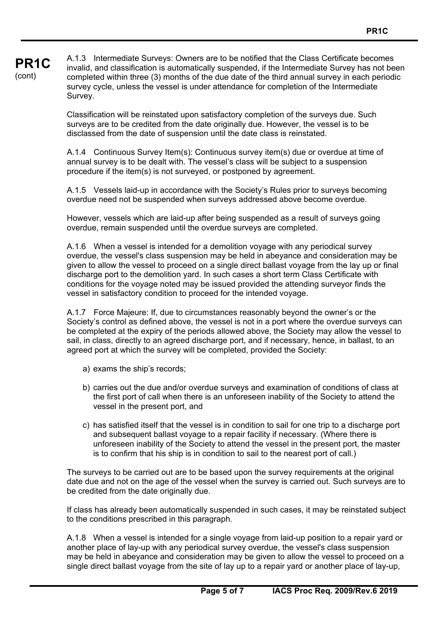#### **PR1C**  (cont) A.1.3 Intermediate Surveys: Owners are to be notified that the Class Certificate becomes invalid, and classification is automatically suspended, if the Intermediate Survey has not been completed within three (3) months of the due date of the third annual survey in each periodic survey cycle, unless the vessel is under attendance for completion of the Intermediate Survey.

Classification will be reinstated upon satisfactory completion of the surveys due. Such surveys are to be credited from the date originally due. However, the vessel is to be disclassed from the date of suspension until the date class is reinstated.

A.1.4 Continuous Survey Item(s): Continuous survey item(s) due or overdue at time of annual survey is to be dealt with. The vessel's class will be subject to a suspension procedure if the item(s) is not surveyed, or postponed by agreement.

A.1.5 Vessels laid-up in accordance with the Society's Rules prior to surveys becoming overdue need not be suspended when surveys addressed above become overdue.

However, vessels which are laid-up after being suspended as a result of surveys going overdue, remain suspended until the overdue surveys are completed.

A.1.6 When a vessel is intended for a demolition voyage with any periodical survey overdue, the vessel's class suspension may be held in abeyance and consideration may be given to allow the vessel to proceed on a single direct ballast voyage from the lay up or final discharge port to the demolition yard. In such cases a short term Class Certificate with conditions for the voyage noted may be issued provided the attending surveyor finds the vessel in satisfactory condition to proceed for the intended voyage.

A.1.7 Force Majeure: If, due to circumstances reasonably beyond the owner's or the Society's control as defined above, the vessel is not in a port where the overdue surveys can be completed at the expiry of the periods allowed above, the Society may allow the vessel to sail, in class, directly to an agreed discharge port, and if necessary, hence, in ballast, to an agreed port at which the survey will be completed, provided the Society:

- a) exams the ship's records;
- b) carries out the due and/or overdue surveys and examination of conditions of class at the first port of call when there is an unforeseen inability of the Society to attend the vessel in the present port, and
- c) has satisfied itself that the vessel is in condition to sail for one trip to a discharge port and subsequent ballast voyage to a repair facility if necessary. (Where there is unforeseen inability of the Society to attend the vessel in the present port, the master is to confirm that his ship is in condition to sail to the nearest port of call.)

The surveys to be carried out are to be based upon the survey requirements at the original date due and not on the age of the vessel when the survey is carried out. Such surveys are to be credited from the date originally due.

If class has already been automatically suspended in such cases, it may be reinstated subject to the conditions prescribed in this paragraph.

A.1.8 When a vessel is intended for a single voyage from laid-up position to a repair yard or another place of lay-up with any periodical survey overdue, the vessel's class suspension may be held in abeyance and consideration may be given to allow the vessel to proceed on a single direct ballast voyage from the site of lay up to a repair yard or another place of lay-up,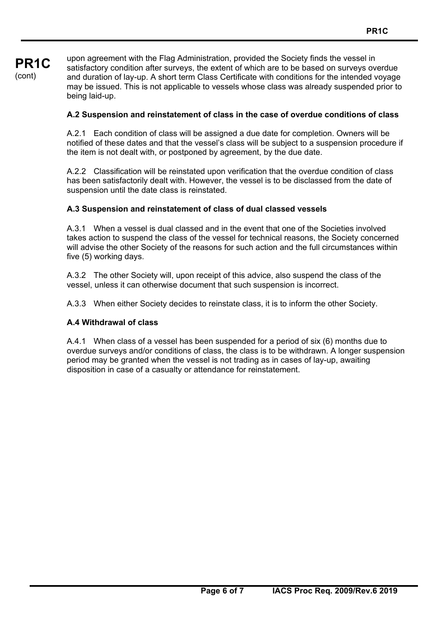**PR1C**  (cont) upon agreement with the Flag Administration, provided the Society finds the vessel in satisfactory condition after surveys, the extent of which are to be based on surveys overdue and duration of lay-up. A short term Class Certificate with conditions for the intended voyage may be issued. This is not applicable to vessels whose class was already suspended prior to being laid-up.

# **A.2 Suspension and reinstatement of class in the case of overdue conditions of class**

A.2.1 Each condition of class will be assigned a due date for completion. Owners will be notified of these dates and that the vessel's class will be subject to a suspension procedure if the item is not dealt with, or postponed by agreement, by the due date.

A.2.2 Classification will be reinstated upon verification that the overdue condition of class has been satisfactorily dealt with. However, the vessel is to be disclassed from the date of suspension until the date class is reinstated.

# **A.3 Suspension and reinstatement of class of dual classed vessels**

A.3.1 When a vessel is dual classed and in the event that one of the Societies involved takes action to suspend the class of the vessel for technical reasons, the Society concerned will advise the other Society of the reasons for such action and the full circumstances within five (5) working days.

A.3.2 The other Society will, upon receipt of this advice, also suspend the class of the vessel, unless it can otherwise document that such suspension is incorrect.

A.3.3 When either Society decides to reinstate class, it is to inform the other Society.

# **A.4 Withdrawal of class**

A.4.1 When class of a vessel has been suspended for a period of six (6) months due to overdue surveys and/or conditions of class, the class is to be withdrawn. A longer suspension period may be granted when the vessel is not trading as in cases of lay-up, awaiting disposition in case of a casualty or attendance for reinstatement.